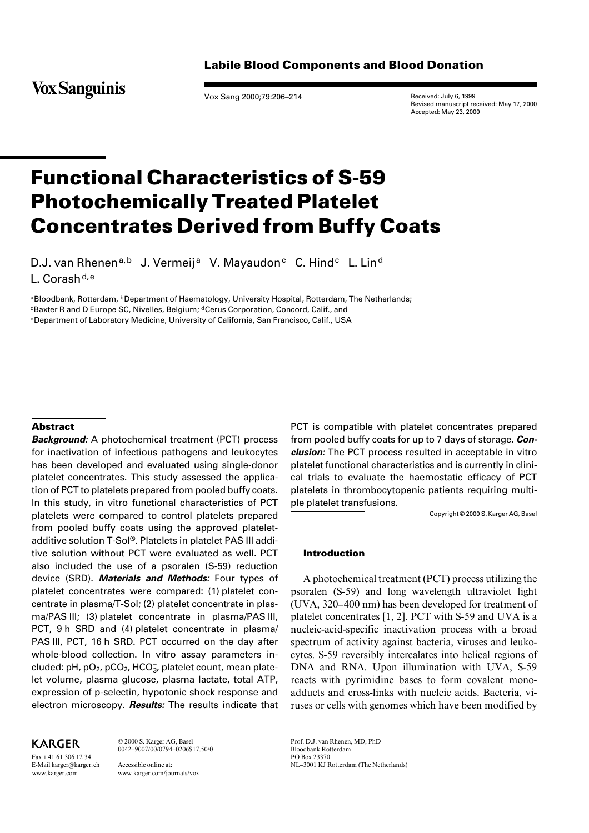Vox Sang 2000;79:206–214

Received: July 6, 1999 Revised manuscript received: May 17, 2000 Accepted: May 23, 2000

# **Functional Characteristics of S-59 Photochemically Treated Platelet Concentrates Derived from Buffy Coats**

D.J. van Rhenen<sup>a, b</sup> J. Vermeij<sup>a</sup> V. Mayaudon<sup>c</sup> C. Hind<sup>c</sup> L. Lin<sup>d</sup> L. Corash $d,e$ 

aBloodbank, Rotterdam, **bDepartment of Haematology, University Hospital**, Rotterdam, The Netherlands; <sup>c</sup>Baxter R and D Europe SC, Nivelles, Belgium; <sup>d</sup>Cerus Corporation, Concord, Calif., and

eDepartment of Laboratory Medicine, University of California, San Francisco, Calif., USA

# **Abstract**

*Background:* A photochemical treatment (PCT) process for inactivation of infectious pathogens and leukocytes has been developed and evaluated using single-donor platelet concentrates. This study assessed the application of PCT to platelets prepared from pooled buffy coats. In this study, in vitro functional characteristics of PCT platelets were compared to control platelets prepared from pooled buffy coats using the approved plateletadditive solution T-Sol®. Platelets in platelet PAS III additive solution without PCT were evaluated as well. PCT also included the use of a psoralen (S-59) reduction device (SRD). *Materials and Methods:* Four types of platelet concentrates were compared: (1) platelet concentrate in plasma/T-Sol; (2) platelet concentrate in plasma/PAS III; (3) platelet concentrate in plasma/PAS III, PCT, 9 h SRD and (4) platelet concentrate in plasma/ PAS III, PCT, 16 h SRD. PCT occurred on the day after whole-blood collection. In vitro assay parameters included: pH, pO $_2$ , pCO $_2$ , HCO $_3^{\!-}$ , platelet count, mean platelet volume, plasma glucose, plasma lactate, total ATP, expression of p-selectin, hypotonic shock response and electron microscopy. *Results:* The results indicate that

# **KARGER**

Fax + 41 61 306 12 34 E-Mail karger@karger.ch www.karger.com

© 2000 S. Karger AG, Basel 0042–9007/00/0794–0206\$17.50/0

Accessible online at: www.karger.com/journals/vox PCT is compatible with platelet concentrates prepared from pooled buffy coats for up to 7 days of storage. *Conclusion:* The PCT process resulted in acceptable in vitro platelet functional characteristics and is currently in clinical trials to evaluate the haemostatic efficacy of PCT platelets in thrombocytopenic patients requiring multiple platelet transfusions.

Copyright © 2000 S. Karger AG, Basel

## **Introduction**

A photochemical treatment (PCT) process utilizing the psoralen (S-59) and long wavelength ultraviolet light (UVA, 320–400 nm) has been developed for treatment of platelet concentrates [1, 2]. PCT with S-59 and UVA is a nucleic-acid-specific inactivation process with a broad spectrum of activity against bacteria, viruses and leukocytes. S-59 reversibly intercalates into helical regions of DNA and RNA. Upon illumination with UVA, S-59 reacts with pyrimidine bases to form covalent monoadducts and cross-links with nucleic acids. Bacteria, viruses or cells with genomes which have been modified by

Prof. D.J. van Rhenen, MD, PhD Bloodbank Rotterdam PO Box 23370 NL–3001 KJ Rotterdam (The Netherlands)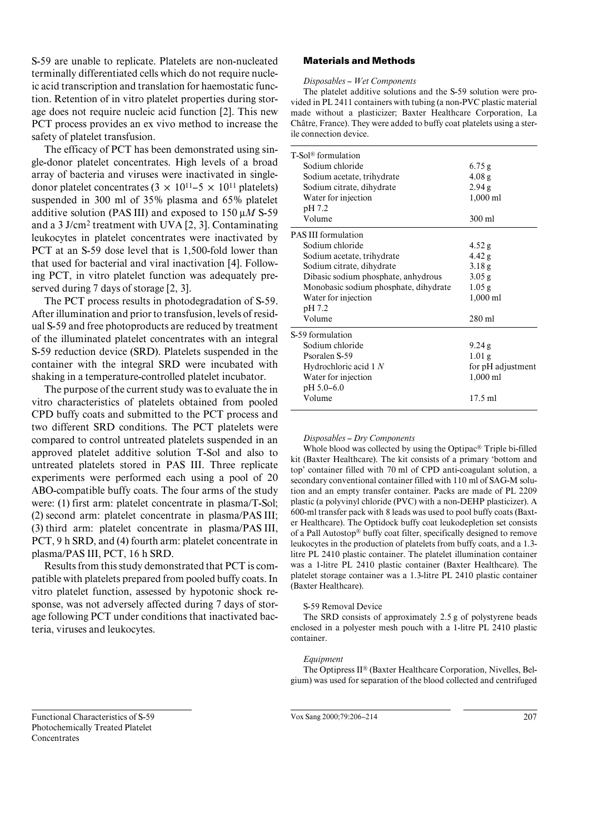S-59 are unable to replicate. Platelets are non-nucleated terminally differentiated cells which do not require nucleic acid transcription and translation for haemostatic function. Retention of in vitro platelet properties during storage does not require nucleic acid function [2]. This new PCT process provides an ex vivo method to increase the safety of platelet transfusion.

The efficacy of PCT has been demonstrated using single-donor platelet concentrates. High levels of a broad array of bacteria and viruses were inactivated in singledonor platelet concentrates ( $3 \times 10^{11} - 5 \times 10^{11}$  platelets) suspended in 300 ml of 35% plasma and 65% platelet additive solution (PAS III) and exposed to 150  $\mu$ *M* S-59 and a 3 J/cm2 treatment with UVA [2, 3]. Contaminating leukocytes in platelet concentrates were inactivated by PCT at an S-59 dose level that is 1,500-fold lower than that used for bacterial and viral inactivation [4]. Following PCT, in vitro platelet function was adequately preserved during 7 days of storage [2, 3].

The PCT process results in photodegradation of S-59. After illumination and prior to transfusion, levels of residual S-59 and free photoproducts are reduced by treatment of the illuminated platelet concentrates with an integral S-59 reduction device (SRD). Platelets suspended in the container with the integral SRD were incubated with shaking in a temperature-controlled platelet incubator.

The purpose of the current study was to evaluate the in vitro characteristics of platelets obtained from pooled CPD buffy coats and submitted to the PCT process and two different SRD conditions. The PCT platelets were compared to control untreated platelets suspended in an approved platelet additive solution T-Sol and also to untreated platelets stored in PAS III. Three replicate experiments were performed each using a pool of 20 ABO-compatible buffy coats. The four arms of the study were: (1) first arm: platelet concentrate in plasma/T-Sol; (2) second arm: platelet concentrate in plasma/PAS III; (3) third arm: platelet concentrate in plasma/PAS III, PCT, 9 h SRD, and (4) fourth arm: platelet concentrate in plasma/PAS III, PCT, 16 h SRD.

Results from this study demonstrated that PCT is compatible with platelets prepared from pooled buffy coats. In vitro platelet function, assessed by hypotonic shock response, was not adversely affected during 7 days of storage following PCT under conditions that inactivated bacteria, viruses and leukocytes.

# **Materials and Methods**

*Disposables – Wet Components*

The platelet additive solutions and the S-59 solution were provided in PL 2411 containers with tubing (a non-PVC plastic material made without a plasticizer; Baxter Healthcare Corporation, La Châtre, France). They were added to buffy coat platelets using a sterile connection device.

| T-Sol <sup>®</sup> formulation        |                    |
|---------------------------------------|--------------------|
| Sodium chloride                       | 6.75 g             |
| Sodium acetate, trihydrate            | 4.08 <sub>g</sub>  |
| Sodium citrate, dihydrate             | 2.94 g             |
| Water for injection                   | $1,000 \text{ ml}$ |
| pH 7.2                                |                    |
| Volume                                | 300 ml             |
| <b>PAS III formulation</b>            |                    |
| Sodium chloride                       | 4.52 g             |
| Sodium acetate, trihydrate            | 4.42 g             |
| Sodium citrate, dihydrate             | 3.18 <sub>g</sub>  |
| Dibasic sodium phosphate, anhydrous   | $3.05$ g           |
| Monobasic sodium phosphate, dihydrate | $1.05$ g           |
| Water for injection                   | $1,000 \text{ ml}$ |
| pH 7.2                                |                    |
| Volume                                | 280 ml             |
| S-59 formulation                      |                    |
| Sodium chloride                       | 9.24 g             |
| Psoralen S-59                         | 1.01 <sub>g</sub>  |
| Hydrochloric acid $1 N$               | for pH adjustment  |
| Water for injection                   | 1,000 ml           |
| pH 5.0–6.0                            |                    |
| Volume                                | $17.5$ ml          |
|                                       |                    |

## *Disposables – Dry Components*

Whole blood was collected by using the Optipac® Triple bi-filled kit (Baxter Healthcare). The kit consists of a primary 'bottom and top' container filled with 70 ml of CPD anti-coagulant solution, a secondary conventional container filled with 110 ml of SAG-M solution and an empty transfer container. Packs are made of PL 2209 plastic (a polyvinyl chloride (PVC) with a non-DEHP plasticizer). A 600-ml transfer pack with 8 leads was used to pool buffy coats (Baxter Healthcare). The Optidock buffy coat leukodepletion set consists of a Pall Autostop® buffy coat filter, specifically designed to remove leukocytes in the production of platelets from buffy coats, and a 1.3 litre PL 2410 plastic container. The platelet illumination container was a 1-litre PL 2410 plastic container (Baxter Healthcare). The platelet storage container was a 1.3-litre PL 2410 plastic container (Baxter Healthcare).

#### S-59 Removal Device

The SRD consists of approximately 2.5 g of polystyrene beads enclosed in a polyester mesh pouch with a 1-litre PL 2410 plastic container.

#### *Equipment*

The Optipress II® (Baxter Healthcare Corporation, Nivelles, Belgium) was used for separation of the blood collected and centrifuged

Functional Characteristics of S-59 Photochemically Treated Platelet **Concentrates** 

Vox Sang 2000;79:206–214 207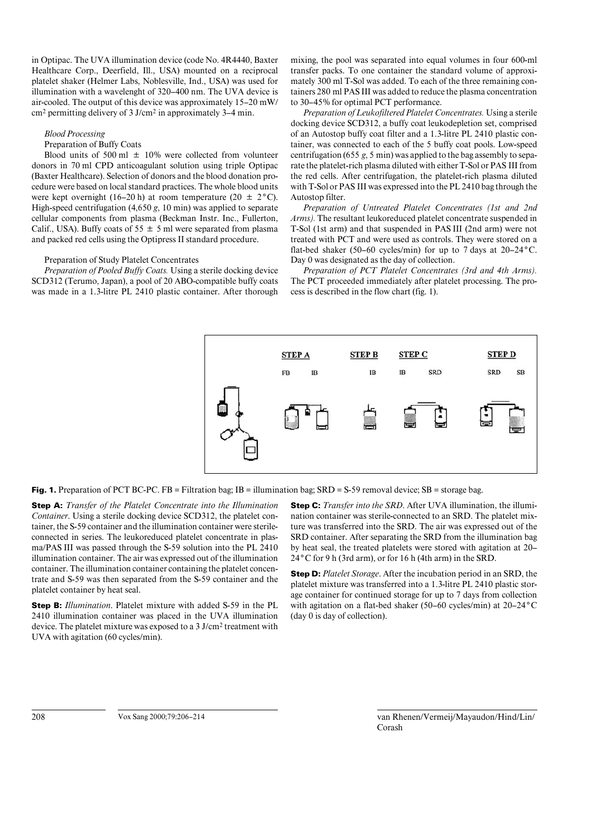in Optipac. The UVA illumination device (code No. 4R4440, Baxter Healthcare Corp., Deerfield, Ill., USA) mounted on a reciprocal platelet shaker (Helmer Labs, Noblesville, Ind., USA) was used for illumination with a wavelenght of 320–400 nm. The UVA device is air-cooled. The output of this device was approximately 15–20 mW/ cm2 permitting delivery of 3 J/cm2 in approximately 3–4 min.

## *Blood Processing*

Preparation of Buffy Coats

Blood units of 500 ml  $\pm$  10% were collected from volunteer donors in 70 ml CPD anticoagulant solution using triple Optipac (Baxter Healthcare). Selection of donors and the blood donation procedure were based on local standard practices. The whole blood units were kept overnight (16–20 h) at room temperature (20  $\pm$  2<sup>°</sup>C). High-speed centrifugation (4,650 *g*, 10 min) was applied to separate cellular components from plasma (Beckman Instr. Inc., Fullerton, Calif., USA). Buffy coats of 55  $\pm$  5 ml were separated from plasma and packed red cells using the Optipress II standard procedure.

### Preparation of Study Platelet Concentrates

*Preparation of Pooled Buffy Coats.* Using a sterile docking device SCD312 (Terumo, Japan), a pool of 20 ABO-compatible buffy coats was made in a 1.3-litre PL 2410 plastic container. After thorough

mixing, the pool was separated into equal volumes in four 600-ml transfer packs. To one container the standard volume of approximately 300 ml T-Sol was added. To each of the three remaining containers 280 ml PAS III was added to reduce the plasma concentration to 30–45% for optimal PCT performance.

*Preparation of Leukofiltered Platelet Concentrates.* Using a sterile docking device SCD312, a buffy coat leukodepletion set, comprised of an Autostop buffy coat filter and a 1.3-litre PL 2410 plastic container, was connected to each of the 5 buffy coat pools. Low-speed centrifugation (655 *g*, 5 min) was applied to the bag assembly to separate the platelet-rich plasma diluted with either T-Sol or PAS III from the red cells. After centrifugation, the platelet-rich plasma diluted with T-Sol or PAS III was expressed into the PL 2410 bag through the Autostop filter.

*Preparation of Untreated Platelet Concentrates (1st and 2nd Arms).* The resultant leukoreduced platelet concentrate suspended in T-Sol (1st arm) and that suspended in PAS III (2nd arm) were not treated with PCT and were used as controls. They were stored on a flat-bed shaker (50–60 cycles/min) for up to 7 days at 20–24**°**C. Day 0 was designated as the day of collection.

*Preparation of PCT Platelet Concentrates (3rd and 4th Arms).* The PCT proceeded immediately after platelet processing. The process is described in the flow chart (fig. 1).



**Fig. 1.** Preparation of PCT BC-PC. FB = Filtration bag; IB = illumination bag; SRD = S-59 removal device; SB = storage bag.

**Step A:** *Transfer of the Platelet Concentrate into the Illumination Container*. Using a sterile docking device SCD312, the platelet container, the S-59 container and the illumination container were sterileconnected in series. The leukoreduced platelet concentrate in plasma/PAS III was passed through the S-59 solution into the PL 2410 illumination container. The air was expressed out of the illumination container. The illumination container containing the platelet concentrate and S-59 was then separated from the S-59 container and the platelet container by heat seal.

**Step B:** *Illumination*. Platelet mixture with added S-59 in the PL 2410 illumination container was placed in the UVA illumination device. The platelet mixture was exposed to a 3 J/cm2 treatment with UVA with agitation (60 cycles/min).

**Step C:** *Transfer into the SRD*. After UVA illumination, the illumination container was sterile-connected to an SRD. The platelet mixture was transferred into the SRD. The air was expressed out of the SRD container. After separating the SRD from the illumination bag by heat seal, the treated platelets were stored with agitation at 20– 24**°**C for 9 h (3rd arm), or for 16 h (4th arm) in the SRD.

**Step D:** *Platelet Storage*. After the incubation period in an SRD, the platelet mixture was transferred into a 1.3-litre PL 2410 plastic storage container for continued storage for up to 7 days from collection with agitation on a flat-bed shaker (50–60 cycles/min) at 20–24**°**C (day 0 is day of collection).

208 Vox Sang 2000;79:206–214 van Rhenen/Vermeij/Mayaudon/Hind/Lin/ Corash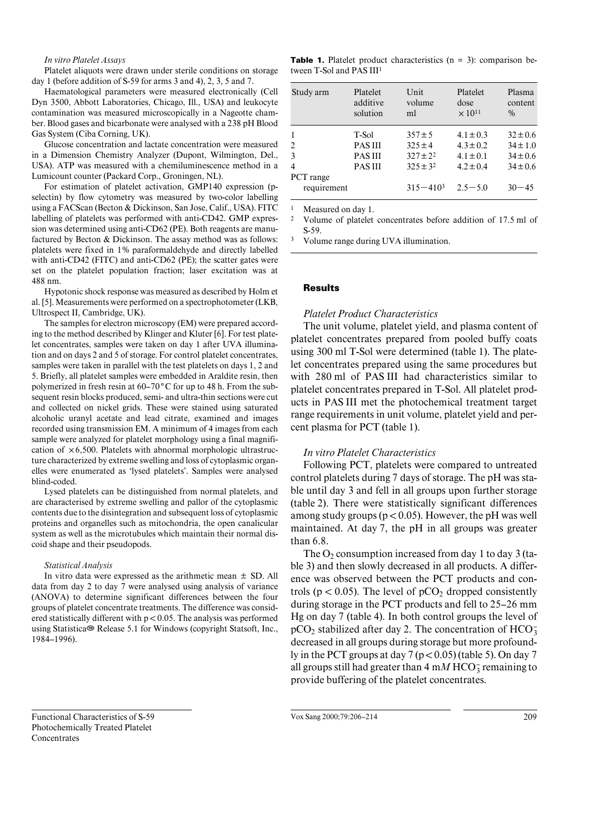#### *In vitro Platelet Assays*

Platelet aliquots were drawn under sterile conditions on storage day 1 (before addition of S-59 for arms 3 and 4), 2, 3, 5 and 7.

Haematological parameters were measured electronically (Cell Dyn 3500, Abbott Laboratories, Chicago, Ill., USA) and leukocyte contamination was measured microscopically in a Nageotte chamber. Blood gases and bicarbonate were analysed with a 238 pH Blood Gas System (Ciba Corning, UK).

Glucose concentration and lactate concentration were measured in a Dimension Chemistry Analyzer (Dupont, Wilmington, Del., USA). ATP was measured with a chemiluminescence method in a Lumicount counter (Packard Corp., Groningen, NL).

For estimation of platelet activation, GMP140 expression (pselectin) by flow cytometry was measured by two-color labelling using a FACScan (Becton & Dickinson, San Jose, Calif., USA). FITC labelling of platelets was performed with anti-CD42. GMP expression was determined using anti-CD62 (PE). Both reagents are manufactured by Becton & Dickinson. The assay method was as follows: platelets were fixed in 1% paraformaldehyde and directly labelled with anti-CD42 (FITC) and anti-CD62 (PE); the scatter gates were set on the platelet population fraction; laser excitation was at 488 nm.

Hypotonic shock response was measured as described by Holm et al. [5]. Measurements were performed on a spectrophotometer (LKB, Ultrospect II, Cambridge, UK).

The samples for electron microscopy (EM) were prepared according to the method described by Klinger and Kluter [6]. For test platelet concentrates, samples were taken on day 1 after UVA illumination and on days 2 and 5 of storage. For control platelet concentrates, samples were taken in parallel with the test platelets on days 1, 2 and 5. Briefly, all platelet samples were embedded in Araldite resin, then polymerized in fresh resin at 60–70**°**C for up to 48 h. From the subsequent resin blocks produced, semi- and ultra-thin sections were cut and collected on nickel grids. These were stained using saturated alcoholic uranyl acetate and lead citrate, examined and images recorded using transmission EM. A minimum of 4 images from each sample were analyzed for platelet morphology using a final magnification of  $\times 6,500$ . Platelets with abnormal morphologic ultrastructure characterized by extreme swelling and loss of cytoplasmic organelles were enumerated as 'lysed platelets'. Samples were analysed blind-coded.

Lysed platelets can be distinguished from normal platelets, and are characterised by extreme swelling and pallor of the cytoplasmic contents due to the disintegration and subsequent loss of cytoplasmic proteins and organelles such as mitochondria, the open canalicular system as well as the microtubules which maintain their normal discoid shape and their pseudopods.

#### *Statistical Analysis*

In vitro data were expressed as the arithmetic mean  $\pm$  SD. All data from day 2 to day 7 were analysed using analysis of variance (ANOVA) to determine significant differences between the four groups of platelet concentrate treatments. The difference was considered statistically different with  $p < 0.05$ . The analysis was performed using Statistica<sup>®</sup> Release 5.1 for Windows (copyright Statsoft, Inc., 1984–1996).

**Table 1.** Platelet product characteristics (n = 3): comparison between T-Sol and PAS III1

| Study arm      | Platelet<br>additive<br>solution | Unit<br>volume<br>ml | Platelet<br>dose<br>$\times 10^{11}$ | Plasma<br>content<br>$\frac{0}{0}$ |
|----------------|----------------------------------|----------------------|--------------------------------------|------------------------------------|
|                | T-Sol                            | $357 \pm 5$          | $4.1 \pm 0.3$                        | $32 \pm 0.6$                       |
| $\overline{c}$ | <b>PASIII</b>                    | $325 \pm 4$          | $4.3 \pm 0.2$                        | $34 \pm 1.0$                       |
| 3              | <b>PASIII</b>                    | $327 \pm 2^2$        | $4.1 \pm 0.1$                        | $34 \pm 0.6$                       |
| 4              | <b>PASIII</b>                    | $325 \pm 3^2$        | $4.2 \pm 0.4$                        | $34 \pm 0.6$                       |
| PCT range      |                                  |                      |                                      |                                    |
| requirement    |                                  | $315 - 4103$         | $2.5 - 5.0$                          | $30 - 45$                          |
|                |                                  |                      |                                      |                                    |

1 Measured on day 1.

2 Volume of platelet concentrates before addition of 17.5 ml of S-59.

3 Volume range during UVA illumination.

# **Results**

# *Platelet Product Characteristics*

The unit volume, platelet yield, and plasma content of platelet concentrates prepared from pooled buffy coats using 300 ml T-Sol were determined (table 1). The platelet concentrates prepared using the same procedures but with 280 ml of PAS III had characteristics similar to platelet concentrates prepared in T-Sol. All platelet products in PAS III met the photochemical treatment target range requirements in unit volume, platelet yield and percent plasma for PCT (table 1).

# *In vitro Platelet Characteristics*

Following PCT, platelets were compared to untreated control platelets during 7 days of storage. The pH was stable until day 3 and fell in all groups upon further storage (table 2). There were statistically significant differences among study groups ( $p < 0.05$ ). However, the pH was well maintained. At day 7, the pH in all groups was greater than 6.8.

The  $O_2$  consumption increased from day 1 to day 3 (table 3) and then slowly decreased in all products. A difference was observed between the PCT products and controls ( $p < 0.05$ ). The level of  $pCO<sub>2</sub>$  dropped consistently during storage in the PCT products and fell to 25–26 mm Hg on day 7 (table 4). In both control groups the level of  $pCO<sub>2</sub>$  stabilized after day 2. The concentration of  $HCO<sub>3</sub>$ decreased in all groups during storage but more profoundly in the PCT groups at day  $7 (p < 0.05)$  (table 5). On day 7 all groups still had greater than  $4 \text{ }\mathrm{m}M\,\mathrm{HCO}_{3}^{-}$  remaining to provide buffering of the platelet concentrates.

Functional Characteristics of S-59 Photochemically Treated Platelet **Concentrates** 

Vox Sang 2000;79:206–214 209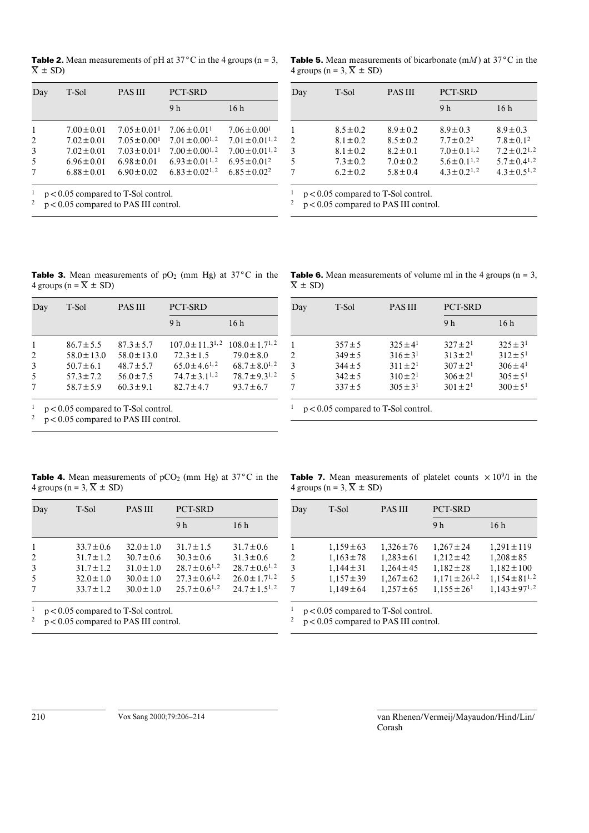**Table 2.** Mean measurements of pH at  $37^{\circ}$ C in the 4 groups (n = 3,  $\overline{X} \pm SD$ 

| Day                           | T-Sol           | <b>PASIII</b>                | <b>PCT-SRD</b>               |                       |
|-------------------------------|-----------------|------------------------------|------------------------------|-----------------------|
|                               |                 |                              | 9 <sub>h</sub>               | 16 h                  |
|                               | $7.00 \pm 0.01$ | $7.05 \pm 0.01$ <sup>1</sup> | $7.06 \pm 0.01$ <sup>1</sup> | $7.06 \pm 0.001$      |
| $\mathfrak{D}_{\mathfrak{p}}$ | $7.02 \pm 0.01$ | $7.05 \pm 0.001$             | $7.01 \pm 0.00^{1,2}$        | $7.01 \pm 0.01^{1,2}$ |
| 3                             | $7.02 \pm 0.01$ | $7.03 \pm 0.01$ <sup>1</sup> | $7.00 \pm 0.00^{1,2}$        | $7.00 \pm 0.01^{1,2}$ |
| 5                             | $6.96 \pm 0.01$ | $6.98 \pm 0.01$              | $6.93 \pm 0.01^{1,2}$        | $6.95 \pm 0.01^2$     |
|                               | $6.88 \pm 0.01$ | $6.90 \pm 0.02$              | $6.83 \pm 0.02^{1,2}$        | $6.85 \pm 0.022$      |
|                               |                 |                              |                              |                       |

 $\frac{1}{2}$  p < 0.05 compared to T-Sol control.<br> $\frac{2}{2}$  p < 0.05 compared to PAS III control.

p < 0.05 compared to PAS III control.

**Table 5.** Mean measurements of bicarbonate (m*M*) at 37**°**C in the 4 groups (n =  $3, \overline{X} \pm SD$ )

| Day | T-Sol         | <b>PASIII</b> | <b>PCT-SRD</b>      |                     |
|-----|---------------|---------------|---------------------|---------------------|
|     |               |               | 9 <sub>h</sub>      | 16 <sub>h</sub>     |
|     | $8.5 \pm 0.2$ | $8.9 \pm 0.2$ | $8.9 \pm 0.3$       | $8.9 \pm 0.3$       |
| 2   | $8.1 \pm 0.2$ | $8.5 \pm 0.2$ | $7.7 \pm 0.2^2$     | $7.8 \pm 0.1^2$     |
| 3   | $8.1 \pm 0.2$ | $8.2 \pm 0.1$ | $7.0 \pm 0.1^{1,2}$ | $7.2 \pm 0.2^{1,2}$ |
| 5   | $7.3 \pm 0.2$ | $7.0 \pm 0.2$ | $5.6 \pm 0.1^{1,2}$ | $5.7 \pm 0.4^{1,2}$ |
|     | $6.2 \pm 0.2$ | $5.8 \pm 0.4$ | $4.3 \pm 0.2^{1,2}$ | $4.3 \pm 0.5^{1,2}$ |

 $1 p < 0.05$  compared to T-Sol control.

 $\frac{2}{p}$  = p < 0.05 compared to PAS III control.

**Table 3.** Mean measurements of  $pO_2$  (mm Hg) at  $37^{\circ}$ C in the 4 groups (n =  $\overline{X} \pm SD$ )

| <b>Table 6.</b> Mean measurements of volume ml in the 4 groups ( $n = 3$ , |  |  |  |
|----------------------------------------------------------------------------|--|--|--|
| $X \pm SD$                                                                 |  |  |  |

| Day | T-Sol           | <b>PASIII</b>   | <b>PCT-SRD</b>         |                       |
|-----|-----------------|-----------------|------------------------|-----------------------|
|     |                 |                 | 9 h                    | 16h                   |
|     | $86.7 \pm 5.5$  | $87.3 \pm 5.7$  | $107.0 \pm 11.3^{1,2}$ | $108.0 \pm 1.7^{1,2}$ |
| 2   | $58.0 \pm 13.0$ | $58.0 \pm 13.0$ | $72.3 \pm 1.5$         | $79.0 \pm 8.0$        |
| 3   | $50.7 \pm 6.1$  | $48.7 \pm 5.7$  | $65.0 \pm 4.6^{1,2}$   | $68.7 \pm 8.0^{1,2}$  |
| 5   | $57.3 \pm 7.2$  | $56.0 \pm 7.5$  | $74.7 \pm 3.1^{1,2}$   | $78.7 \pm 9.3^{1,2}$  |
|     | $58.7 \pm 5.9$  | $60.3 \pm 9.1$  | $82.7 \pm 4.7$         | $93.7 \pm 6.7$        |

 $\frac{1}{2}$  p < 0.05 compared to T-Sol control.<br> $\frac{2}{2}$  p < 0.05 compared to PAS III control.

 $p < 0.05$  compared to PAS III control.

| Day | T-Sol       | <b>PASIII</b>   | <b>PCT-SRD</b>  |               |
|-----|-------------|-----------------|-----------------|---------------|
|     |             |                 | 9 <sub>h</sub>  | 16h           |
|     | $357 \pm 5$ | $325 \pm 4^1$   | $327 \pm 21$    | $325 \pm 3^1$ |
| 2   | $349 \pm 5$ | $316 \pm 3^1$   | $313 \pm 2^{1}$ | $312 \pm 5^1$ |
| 3   | $344 \pm 5$ | $311 \pm 21$    | $307 \pm 2^{1}$ | $306 \pm 4^1$ |
| 5   | $342 \pm 5$ | $310 \pm 2^{1}$ | $306 \pm 2^{1}$ | $305 \pm 5^1$ |
|     | $337 \pm 5$ | $305 \pm 31$    | $301 \pm 21$    | $300 \pm 51$  |

 $1 p < 0.05$  compared to T-Sol control.

**Table 4.** Mean measurements of  $pCO_2$  (mm Hg) at  $37^{\circ}$ C in the 4 groups (n = 3,  $\overline{X} \pm SD$ )

| Day          | T-Sol          | <b>PASIII</b>  | PCT-SRD              |                      | Day | T-Sol          |
|--------------|----------------|----------------|----------------------|----------------------|-----|----------------|
|              |                |                | 9 <sub>h</sub>       | 16 <sub>h</sub>      |     |                |
| $\mathbf{1}$ | $33.7 \pm 0.6$ | $32.0 \pm 1.0$ | $31.7 \pm 1.5$       | $31.7 \pm 0.6$       |     | $1,159 \pm 63$ |
| 2            | $31.7 \pm 1.2$ | $30.7 \pm 0.6$ | $30.3 \pm 0.6$       | $31.3 \pm 0.6$       | 2   | $1,163 \pm 78$ |
| 3            | $31.7 \pm 1.2$ | $31.0 \pm 1.0$ | $28.7 \pm 0.6^{1,2}$ | $28.7 \pm 0.6^{1,2}$ | 3   | $1,144 \pm 31$ |
| 5            | $32.0 \pm 1.0$ | $30.0 \pm 1.0$ | $27.3 \pm 0.6^{1,2}$ | $26.0 \pm 1.7^{1,2}$ |     | $1,157 \pm 39$ |
| 7            | $33.7 \pm 1.2$ | $30.0 \pm 1.0$ | $25.7 \pm 0.6^{1,2}$ | $24.7 \pm 1.5^{1,2}$ |     | $1,149 \pm 64$ |

 $\frac{1}{2}$  p < 0.05 compared to T-Sol control.<br> $\frac{2}{2}$  p < 0.05 compared to PAS III control.

 $p < 0.05$  compared to PAS III control.

**Table 7.** Mean measurements of platelet counts  $\times 10^{9}/l$  in the 4 groups (n = 3,  $\overline{X} \pm SD$ )

| Day | T-Sol          | <b>PASIII</b>  | <b>PCT-SRD</b>       |                      |
|-----|----------------|----------------|----------------------|----------------------|
|     |                |                | 9 <sub>h</sub>       | 16h                  |
| -1  | $1,159 \pm 63$ | $1,326 \pm 76$ | $1,267 \pm 24$       | $1,291 \pm 119$      |
| 2   | $1,163 \pm 78$ | $1,283 \pm 61$ | $1,212 \pm 42$       | $1,208 \pm 85$       |
| 3   | $1,144 \pm 31$ | $1,264 \pm 45$ | $1,182 \pm 28$       | $1,182 \pm 100$      |
| 5   | $1,157 \pm 39$ | $1,267 \pm 62$ | $1,171 \pm 26^{1,2}$ | $1,154 \pm 81^{1,2}$ |
| 7   | $1,149 \pm 64$ | $1,257 \pm 65$ | $1,155 \pm 261$      | $1,143 \pm 97^{1,2}$ |

 $\frac{1}{2}$  p < 0.05 compared to T-Sol control.<br> $\frac{2}{2}$  p < 0.05 compared to PAS III control.

 $p < 0.05$  compared to PAS III control.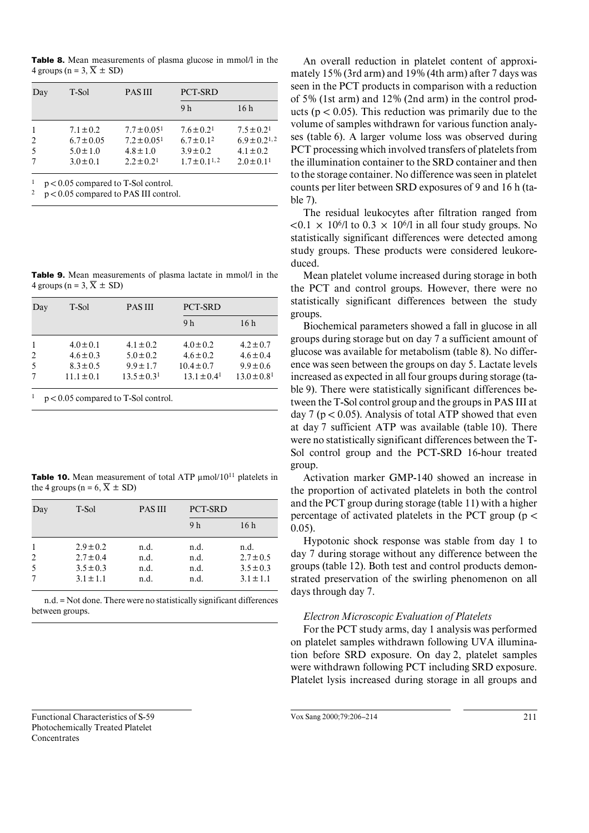**Table 8.** Mean measurements of plasma glucose in mmol/l in the 4 groups (n = 3,  $\overline{X} \pm SD$ )

| Day | T-Sol                                                             | <b>PASIII</b>                                                            | <b>PCT-SRD</b>                                                            |                                                                           |
|-----|-------------------------------------------------------------------|--------------------------------------------------------------------------|---------------------------------------------------------------------------|---------------------------------------------------------------------------|
|     |                                                                   |                                                                          | 9 <sub>h</sub>                                                            | 16 <sub>h</sub>                                                           |
|     | $7.1 \pm 0.2$<br>$6.7 \pm 0.05$<br>$5.0 \pm 1.0$<br>$3.0 \pm 0.1$ | $7.7 \pm 0.05^1$<br>$7.2 \pm 0.05^1$<br>$4.8 \pm 1.0$<br>$2.2 \pm 0.2^1$ | $7.6 \pm 0.21$<br>$6.7 \pm 0.1^2$<br>$3.9 \pm 0.2$<br>$1.7 \pm 0.1^{1,2}$ | $7.5 \pm 0.2^1$<br>$6.9 \pm 0.2^{1,2}$<br>$4.1 \pm 0.2$<br>$2.0 \pm 0.11$ |

 $1 p < 0.05$  compared to T-Sol control.

 $2 p < 0.05$  compared to PAS III control.

**Table 9.** Mean measurements of plasma lactate in mmol/l in the 4 groups (n = 3,  $\overline{X} \pm SD$ )

| Day            | T-Sol          | <b>PASIII</b>    | <b>PCT-SRD</b>              |                 |
|----------------|----------------|------------------|-----------------------------|-----------------|
|                |                |                  | 9 h                         | 16 <sub>h</sub> |
|                | $4.0 \pm 0.1$  | $4.1 \pm 0.2$    | $4.0 \pm 0.2$               | $4.2 \pm 0.7$   |
| $\overline{2}$ | $4.6 \pm 0.3$  | $5.0 \pm 0.2$    | $4.6 \pm 0.2$               | $4.6 \pm 0.4$   |
|                | $8.3 \pm 0.5$  | $9.9 \pm 1.7$    | $10.4 \pm 0.7$              | $9.9 \pm 0.6$   |
|                | $11.1 \pm 0.1$ | $13.5 \pm 0.3^1$ | $13.1 \pm 0.4$ <sup>1</sup> | $13.0 \pm 0.81$ |

 $p < 0.05$  compared to T-Sol control.

**Table 10.** Mean measurement of total ATP  $\mu$ mol/10<sup>11</sup> platelets in the 4 groups (n = 6,  $\overline{X} \pm SD$ )

| Day | T-Sol                                                            | <b>PASIII</b>                | PCT-SRD                      |                                                         |
|-----|------------------------------------------------------------------|------------------------------|------------------------------|---------------------------------------------------------|
|     |                                                                  |                              | 9 <sub>h</sub>               | 16 <sub>h</sub>                                         |
| 2   | $2.9 \pm 0.2$<br>$2.7 \pm 0.4$<br>$3.5 \pm 0.3$<br>$3.1 \pm 1.1$ | n.d.<br>n.d.<br>n.d.<br>n.d. | n.d.<br>n.d.<br>n.d.<br>n.d. | n.d.<br>$2.7 \pm 0.5$<br>$3.5 \pm 0.3$<br>$3.1 \pm 1.1$ |

n.d. = Not done. There were no statistically significant differences between groups.

An overall reduction in platelet content of approximately 15% (3rd arm) and 19% (4th arm) after 7 days was seen in the PCT products in comparison with a reduction of 5% (1st arm) and 12% (2nd arm) in the control products ( $p < 0.05$ ). This reduction was primarily due to the volume of samples withdrawn for various function analyses (table 6). A larger volume loss was observed during PCT processing which involved transfers of platelets from the illumination container to the SRD container and then to the storage container. No difference was seen in platelet counts per liter between SRD exposures of 9 and 16 h (table 7).

The residual leukocytes after filtration ranged from  $\langle 0.1 \times 10^{6} / 1$  to  $0.3 \times 10^{6} / 1$  in all four study groups. No statistically significant differences were detected among study groups. These products were considered leukoreduced.

Mean platelet volume increased during storage in both the PCT and control groups. However, there were no statistically significant differences between the study groups.

Biochemical parameters showed a fall in glucose in all groups during storage but on day 7 a sufficient amount of glucose was available for metabolism (table 8). No difference was seen between the groups on day 5. Lactate levels increased as expected in all four groups during storage (table 9). There were statistically significant differences between the T-Sol control group and the groups in PAS III at day 7 ( $p < 0.05$ ). Analysis of total ATP showed that even at day 7 sufficient ATP was available (table 10). There were no statistically significant differences between the T-Sol control group and the PCT-SRD 16-hour treated group.

Activation marker GMP-140 showed an increase in the proportion of activated platelets in both the control and the PCT group during storage (table 11) with a higher percentage of activated platelets in the PCT group ( $p <$ 0.05).

Hypotonic shock response was stable from day 1 to day 7 during storage without any difference between the groups (table 12). Both test and control products demonstrated preservation of the swirling phenomenon on all days through day 7.

# *Electron Microscopic Evaluation of Platelets*

For the PCT study arms, day 1 analysis was performed on platelet samples withdrawn following UVA illumination before SRD exposure. On day 2, platelet samples were withdrawn following PCT including SRD exposure. Platelet lysis increased during storage in all groups and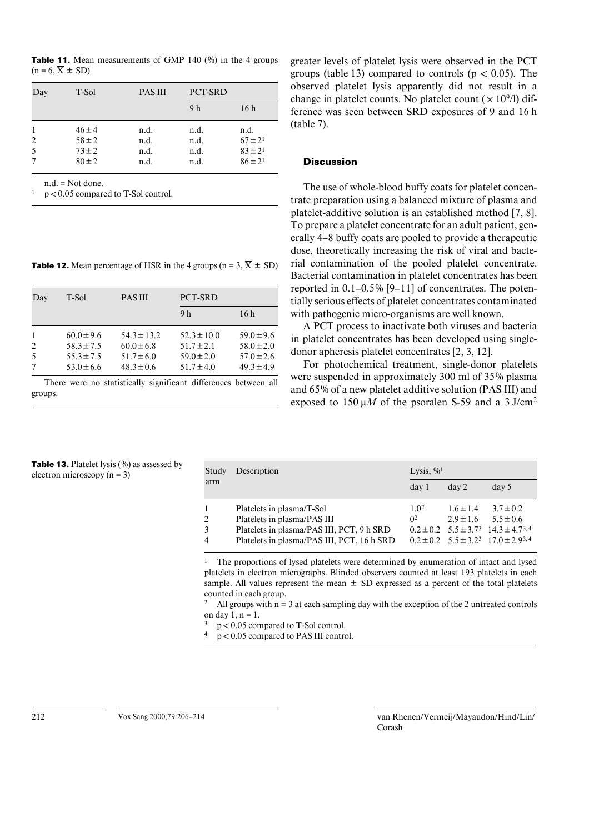**Table 11.** Mean measurements of GMP 140 (%) in the 4 groups  $(n = 6, \overline{X} \pm SD)$ 

| T-Sol                                  | <b>PASIII</b>        | <b>PCT-SRD</b>       |                                                            |
|----------------------------------------|----------------------|----------------------|------------------------------------------------------------|
|                                        |                      | 9 h                  | 16h                                                        |
| $46 \pm 4$<br>$58 \pm 2$<br>$73 \pm 2$ | n.d.<br>n.d.<br>n.d. | n.d.<br>n.d.<br>n.d. | n.d.<br>$67 \pm 2^{1}$<br>$83 \pm 2^{1}$<br>$86 \pm 2^{1}$ |
|                                        | $80 \pm 2$           | n.d.                 | n.d.                                                       |

n.d. = Not done.

 $p < 0.05$  compared to T-Sol control.

**Table 12.** Mean percentage of HSR in the 4 groups (n =  $3, \overline{X} \pm SD$ )

| Day | T-Sol          | <b>PASIII</b>   | PCT-SRD         |                |  |  |
|-----|----------------|-----------------|-----------------|----------------|--|--|
|     |                |                 | 9 <sub>h</sub>  | 16h            |  |  |
| 2   | $60.0 \pm 9.6$ | $54.3 \pm 13.2$ | $52.3 \pm 10.0$ | $59.0 \pm 9.6$ |  |  |
|     | $58.3 \pm 7.5$ | $60.0 \pm 6.8$  | $51.7 \pm 2.1$  | $58.0 \pm 2.0$ |  |  |
|     | $55.3 \pm 7.5$ | $51.7 \pm 6.0$  | $59.0 \pm 2.0$  | $57.0 \pm 2.6$ |  |  |
|     | $53.0 \pm 6.6$ | $48.3 \pm 0.6$  | $51.7 \pm 4.0$  | $49.3 \pm 4.9$ |  |  |

There were no statistically significant differences between all groups.

electron microscopy ( $n = 3$ )

**Table 13.** Platelet lysis (%) as assessed by

greater levels of platelet lysis were observed in the PCT groups (table 13) compared to controls ( $p < 0.05$ ). The observed platelet lysis apparently did not result in a change in platelet counts. No platelet count  $(\times 10^9/l)$  difference was seen between SRD exposures of 9 and 16 h (table 7).

# **Discussion**

The use of whole-blood buffy coats for platelet concentrate preparation using a balanced mixture of plasma and platelet-additive solution is an established method [7, 8]. To prepare a platelet concentrate for an adult patient, generally 4–8 buffy coats are pooled to provide a therapeutic dose, theoretically increasing the risk of viral and bacterial contamination of the pooled platelet concentrate. Bacterial contamination in platelet concentrates has been reported in 0.1–0.5% [9–11] of concentrates. The potentially serious effects of platelet concentrates contaminated with pathogenic micro-organisms are well known.

A PCT process to inactivate both viruses and bacteria in platelet concentrates has been developed using singledonor apheresis platelet concentrates [2, 3, 12].

For photochemical treatment, single-donor platelets were suspended in approximately 300 ml of 35% plasma and 65% of a new platelet additive solution (PAS III) and exposed to  $150 \mu M$  of the psoralen S-59 and a 3 J/cm<sup>2</sup>

| Study<br>arm | Description                                                                             | Lysis, $\%$ <sup>1</sup>     |                                              |                                                                                                          |
|--------------|-----------------------------------------------------------------------------------------|------------------------------|----------------------------------------------|----------------------------------------------------------------------------------------------------------|
|              |                                                                                         | day <sub>1</sub>             | day <sub>2</sub>                             | day 5                                                                                                    |
| 2            | Platelets in plasma/T-Sol<br>Platelets in plasma/PAS III                                | 1.0 <sup>2</sup><br>$\Omega$ | $1.6 \pm 1.4$<br>$2.9 \pm 1.6$ $5.5 \pm 0.6$ | $3.7 \pm 0.2$                                                                                            |
| 3<br>4       | Platelets in plasma/PAS III, PCT, 9 h SRD<br>Platelets in plasma/PAS III, PCT, 16 h SRD |                              |                                              | $0.2 \pm 0.2$ $5.5 \pm 3.7^3$ $14.3 \pm 4.7^{3.4}$<br>$0.2 \pm 0.2$ $5.5 \pm 3.2^3$ $17.0 \pm 2.9^{3.4}$ |

<sup>1</sup> The proportions of lysed platelets were determined by enumeration of intact and lysed platelets in electron micrographs. Blinded observers counted at least 193 platelets in each sample. All values represent the mean  $\pm$  SD expressed as a percent of the total platelets counted in each group.

<sup>2</sup> All groups with  $n = 3$  at each sampling day with the exception of the 2 untreated controls on day  $1, n = 1$ .

 $p < 0.05$  compared to T-Sol control.

 $\frac{4}{\pi}$  p < 0.05 compared to PAS III control.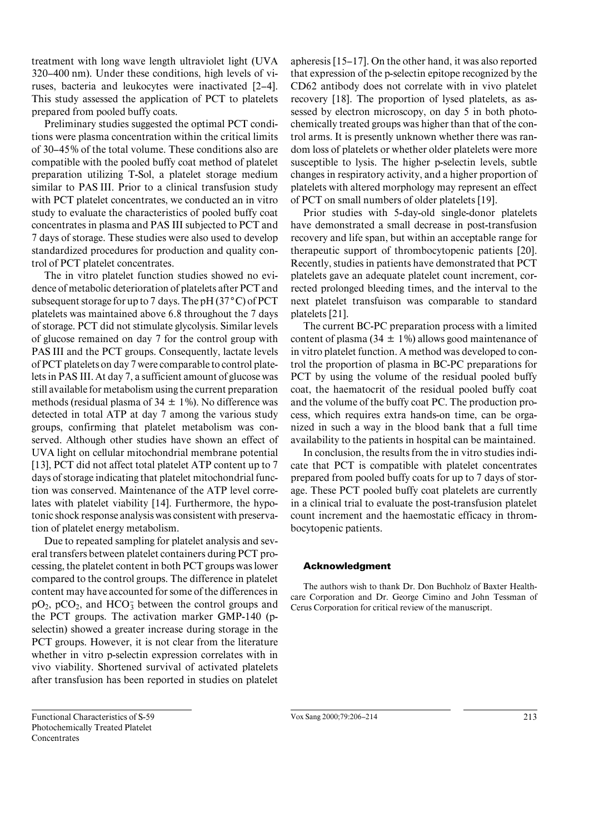treatment with long wave length ultraviolet light (UVA 320–400 nm). Under these conditions, high levels of viruses, bacteria and leukocytes were inactivated [2–4]. This study assessed the application of PCT to platelets prepared from pooled buffy coats.

Preliminary studies suggested the optimal PCT conditions were plasma concentration within the critical limits of 30–45% of the total volume. These conditions also are compatible with the pooled buffy coat method of platelet preparation utilizing T-Sol, a platelet storage medium similar to PAS III. Prior to a clinical transfusion study with PCT platelet concentrates, we conducted an in vitro study to evaluate the characteristics of pooled buffy coat concentrates in plasma and PAS III subjected to PCT and 7 days of storage. These studies were also used to develop standardized procedures for production and quality control of PCT platelet concentrates.

The in vitro platelet function studies showed no evidence of metabolic deterioration of platelets after PCT and subsequent storage for up to 7 days. The pH (37**°**C) of PCT platelets was maintained above 6.8 throughout the 7 days of storage. PCT did not stimulate glycolysis. Similar levels of glucose remained on day 7 for the control group with PAS III and the PCT groups. Consequently, lactate levels of PCT platelets on day 7 were comparable to control platelets in PAS III. At day 7, a sufficient amount of glucose was still available for metabolism using the current preparation methods (residual plasma of  $34 \pm 1\%$ ). No difference was detected in total ATP at day 7 among the various study groups, confirming that platelet metabolism was conserved. Although other studies have shown an effect of UVA light on cellular mitochondrial membrane potential [13], PCT did not affect total platelet ATP content up to 7 days of storage indicating that platelet mitochondrial function was conserved. Maintenance of the ATP level correlates with platelet viability [14]. Furthermore, the hypotonic shock response analysis was consistent with preservation of platelet energy metabolism.

Due to repeated sampling for platelet analysis and several transfers between platelet containers during PCT processing, the platelet content in both PCT groups was lower compared to the control groups. The difference in platelet content may have accounted for some of the differences in  $pO_2$ ,  $pCO_2$ , and  $HCO_3^-$  between the control groups and the PCT groups. The activation marker GMP-140 (pselectin) showed a greater increase during storage in the PCT groups. However, it is not clear from the literature whether in vitro p-selectin expression correlates with in vivo viability. Shortened survival of activated platelets after transfusion has been reported in studies on platelet apheresis [15–17]. On the other hand, it was also reported that expression of the p-selectin epitope recognized by the CD62 antibody does not correlate with in vivo platelet recovery [18]. The proportion of lysed platelets, as assessed by electron microscopy, on day 5 in both photochemically treated groups was higher than that of the control arms. It is presently unknown whether there was random loss of platelets or whether older platelets were more susceptible to lysis. The higher p-selectin levels, subtle changes in respiratory activity, and a higher proportion of platelets with altered morphology may represent an effect of PCT on small numbers of older platelets [19].

Prior studies with 5-day-old single-donor platelets have demonstrated a small decrease in post-transfusion recovery and life span, but within an acceptable range for therapeutic support of thrombocytopenic patients [20]. Recently, studies in patients have demonstrated that PCT platelets gave an adequate platelet count increment, corrected prolonged bleeding times, and the interval to the next platelet transfuison was comparable to standard platelets [21].

The current BC-PC preparation process with a limited content of plasma (34  $\pm$  1%) allows good maintenance of in vitro platelet function. A method was developed to control the proportion of plasma in BC-PC preparations for PCT by using the volume of the residual pooled buffy coat, the haematocrit of the residual pooled buffy coat and the volume of the buffy coat PC. The production process, which requires extra hands-on time, can be organized in such a way in the blood bank that a full time availability to the patients in hospital can be maintained.

In conclusion, the results from the in vitro studies indicate that PCT is compatible with platelet concentrates prepared from pooled buffy coats for up to 7 days of storage. These PCT pooled buffy coat platelets are currently in a clinical trial to evaluate the post-transfusion platelet count increment and the haemostatic efficacy in thrombocytopenic patients.

## **Acknowledgment**

The authors wish to thank Dr. Don Buchholz of Baxter Healthcare Corporation and Dr. George Cimino and John Tessman of Cerus Corporation for critical review of the manuscript.